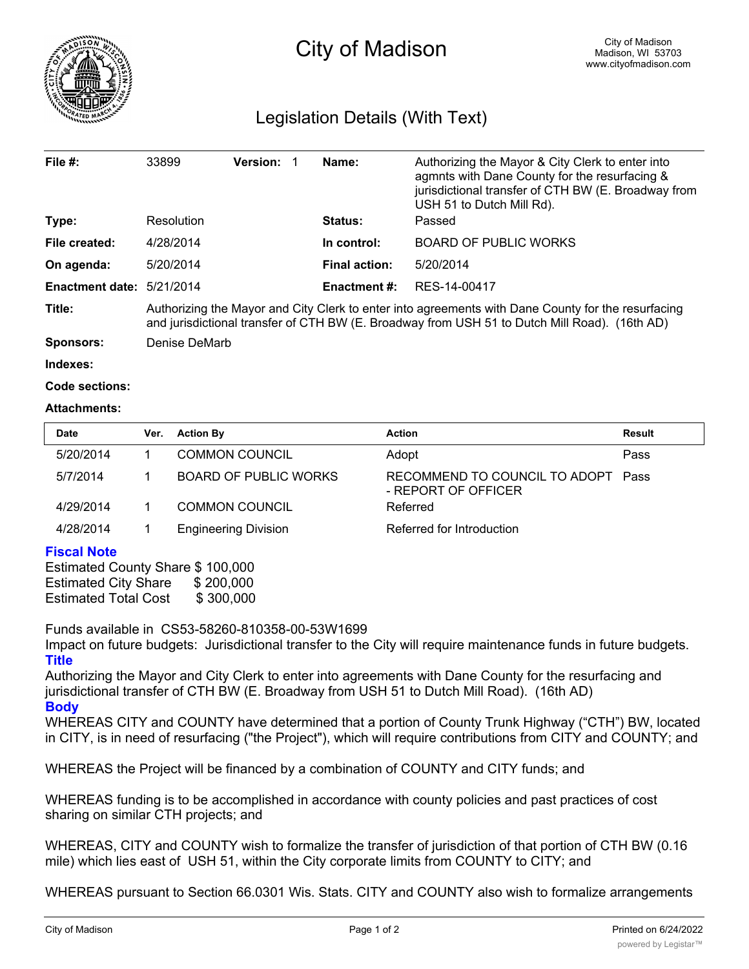

## Legislation Details (With Text)

| File $#$ :                | 33899                                                                                                                                                                                               | <b>Version:</b> |  | Name:                | Authorizing the Mayor & City Clerk to enter into<br>agmnts with Dane County for the resurfacing &<br>jurisdictional transfer of CTH BW (E. Broadway from<br>USH 51 to Dutch Mill Rd). |  |  |
|---------------------------|-----------------------------------------------------------------------------------------------------------------------------------------------------------------------------------------------------|-----------------|--|----------------------|---------------------------------------------------------------------------------------------------------------------------------------------------------------------------------------|--|--|
| Type:                     | Resolution                                                                                                                                                                                          |                 |  | <b>Status:</b>       | Passed                                                                                                                                                                                |  |  |
| File created:             | 4/28/2014                                                                                                                                                                                           |                 |  | In control:          | <b>BOARD OF PUBLIC WORKS</b>                                                                                                                                                          |  |  |
| On agenda:                | 5/20/2014                                                                                                                                                                                           |                 |  | <b>Final action:</b> | 5/20/2014                                                                                                                                                                             |  |  |
| Enactment date: 5/21/2014 |                                                                                                                                                                                                     |                 |  | <b>Enactment #:</b>  | RES-14-00417                                                                                                                                                                          |  |  |
| Title:                    | Authorizing the Mayor and City Clerk to enter into agreements with Dane County for the resurfacing<br>and jurisdictional transfer of CTH BW (E. Broadway from USH 51 to Dutch Mill Road). (16th AD) |                 |  |                      |                                                                                                                                                                                       |  |  |
| Sponsors:                 | Denise DeMarb                                                                                                                                                                                       |                 |  |                      |                                                                                                                                                                                       |  |  |
| .                         |                                                                                                                                                                                                     |                 |  |                      |                                                                                                                                                                                       |  |  |

**Indexes:**

**Code sections:**

## **Attachments:**

| <b>Date</b> | Ver. | <b>Action By</b>             | <b>Action</b>                                        | Result |
|-------------|------|------------------------------|------------------------------------------------------|--------|
| 5/20/2014   |      | COMMON COUNCIL               | Adopt                                                | Pass   |
| 5/7/2014    |      | <b>BOARD OF PUBLIC WORKS</b> | RECOMMEND TO COUNCIL TO ADOPT<br>- REPORT OF OFFICER | Pass   |
| 4/29/2014   |      | <b>COMMON COUNCIL</b>        | Referred                                             |        |
| 4/28/2014   |      | <b>Engineering Division</b>  | Referred for Introduction                            |        |

## **Fiscal Note**

Estimated County Share \$ 100,000 Estimated City Share \$ 200,000 Estimated Total Cost \$300,000

Funds available in CS53-58260-810358-00-53W1699

Impact on future budgets: Jurisdictional transfer to the City will require maintenance funds in future budgets. **Title**

Authorizing the Mayor and City Clerk to enter into agreements with Dane County for the resurfacing and jurisdictional transfer of CTH BW (E. Broadway from USH 51 to Dutch Mill Road). (16th AD) **Body**

WHEREAS CITY and COUNTY have determined that a portion of County Trunk Highway ("CTH") BW, located in CITY, is in need of resurfacing ("the Project"), which will require contributions from CITY and COUNTY; and

WHEREAS the Project will be financed by a combination of COUNTY and CITY funds; and

WHEREAS funding is to be accomplished in accordance with county policies and past practices of cost sharing on similar CTH projects; and

WHEREAS, CITY and COUNTY wish to formalize the transfer of jurisdiction of that portion of CTH BW (0.16 mile) which lies east of USH 51, within the City corporate limits from COUNTY to CITY; and

WHEREAS pursuant to Section 66.0301 Wis. Stats. CITY and COUNTY also wish to formalize arrangements